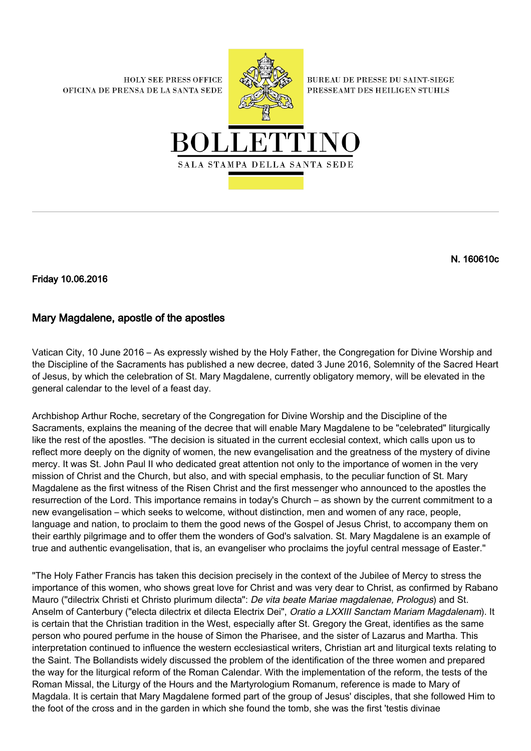**HOLY SEE PRESS OFFICE** OFICINA DE PRENSA DE LA SANTA SEDE



**BUREAU DE PRESSE DU SAINT-SIEGE** PRESSEAMT DES HEILIGEN STUHLS



N. 160610c

Friday 10.06.2016

## Mary Magdalene, apostle of the apostles

Vatican City, 10 June 2016 – As expressly wished by the Holy Father, the Congregation for Divine Worship and the Discipline of the Sacraments has published a new decree, dated 3 June 2016, Solemnity of the Sacred Heart of Jesus, by which the celebration of St. Mary Magdalene, currently obligatory memory, will be elevated in the general calendar to the level of a feast day.

Archbishop Arthur Roche, secretary of the Congregation for Divine Worship and the Discipline of the Sacraments, explains the meaning of the decree that will enable Mary Magdalene to be "celebrated" liturgically like the rest of the apostles. "The decision is situated in the current ecclesial context, which calls upon us to reflect more deeply on the dignity of women, the new evangelisation and the greatness of the mystery of divine mercy. It was St. John Paul II who dedicated great attention not only to the importance of women in the very mission of Christ and the Church, but also, and with special emphasis, to the peculiar function of St. Mary Magdalene as the first witness of the Risen Christ and the first messenger who announced to the apostles the resurrection of the Lord. This importance remains in today's Church – as shown by the current commitment to a new evangelisation – which seeks to welcome, without distinction, men and women of any race, people, language and nation, to proclaim to them the good news of the Gospel of Jesus Christ, to accompany them on their earthly pilgrimage and to offer them the wonders of God's salvation. St. Mary Magdalene is an example of true and authentic evangelisation, that is, an evangeliser who proclaims the joyful central message of Easter."

"The Holy Father Francis has taken this decision precisely in the context of the Jubilee of Mercy to stress the importance of this women, who shows great love for Christ and was very dear to Christ, as confirmed by Rabano Mauro ("dilectrix Christi et Christo plurimum dilecta": De vita beate Mariae magdalenae, Prologus) and St. Anselm of Canterbury ("electa dilectrix et dilecta Electrix Dei", Oratio a LXXIII Sanctam Mariam Magdalenam). It is certain that the Christian tradition in the West, especially after St. Gregory the Great, identifies as the same person who poured perfume in the house of Simon the Pharisee, and the sister of Lazarus and Martha. This interpretation continued to influence the western ecclesiastical writers, Christian art and liturgical texts relating to the Saint. The Bollandists widely discussed the problem of the identification of the three women and prepared the way for the liturgical reform of the Roman Calendar. With the implementation of the reform, the tests of the Roman Missal, the Liturgy of the Hours and the Martyrologium Romanum, reference is made to Mary of Magdala. It is certain that Mary Magdalene formed part of the group of Jesus' disciples, that she followed Him to the foot of the cross and in the garden in which she found the tomb, she was the first 'testis divinae